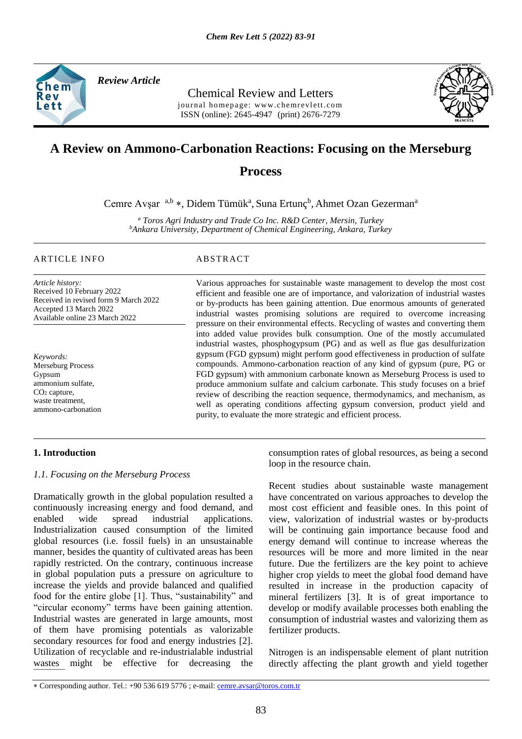

*Review Article* 

Chemical Review and Letters journal homepage: www.chemrevlett.com ISSN (online): 2645-4947(print) 2676-7279



# **A Review on Ammono-Carbonation Reactions: Focusing on the Merseburg**

# **Process**

Cemre Avşar<sup>a, b</sup>\*, Didem Tümük<sup>a</sup>, Suna Ertunç<sup>b</sup>, Ahmet Ozan Gezerman<sup>a</sup>

*<sup>a</sup> Toros Agri Industry and Trade Co Inc. R&D Center, Mersin, Turkey <sup>b</sup>Ankara University, Department of Chemical Engineering, Ankara, Turkey* 

### ARTICLE INFO ABSTRACT

*Article history:* Received 10 February 2022 Received in revised form 9 March 2022 Accepted 13 March 2022 Available online 23 March 2022

*Keywords:* Merseburg Process Gypsum ammonium sulfate, CO<sub>2</sub> capture, waste treatment, ammono-carbonation

Various approaches for sustainable waste management to develop the most cost efficient and feasible one are of importance, and valorization of industrial wastes or by-products has been gaining attention. Due enormous amounts of generated industrial wastes promising solutions are required to overcome increasing pressure on their environmental effects. Recycling of wastes and converting them into added value provides bulk consumption. One of the mostly accumulated industrial wastes, phosphogypsum (PG) and as well as flue gas desulfurization gypsum (FGD gypsum) might perform good effectiveness in production of sulfate compounds. Ammono-carbonation reaction of any kind of gypsum (pure, PG or FGD gypsum) with ammonium carbonate known as Merseburg Process is used to produce ammonium sulfate and calcium carbonate. This study focuses on a brief review of describing the reaction sequence, thermodynamics, and mechanism, as well as operating conditions affecting gypsum conversion, product yield and purity, to evaluate the more strategic and efficient process.

# **1. Introduction**

### *1.1. Focusing on the Merseburg Process*

wastes might be effective for decreasing the Dramatically growth in the global population resulted a continuously increasing energy and food demand, and enabled wide spread industrial applications. Industrialization caused consumption of the limited global resources (i.e. fossil fuels) in an unsustainable manner, besides the quantity of cultivated areas has been rapidly restricted. On the contrary, continuous increase in global population puts a pressure on agriculture to increase the yields and provide balanced and qualified food for the entire globe [1]. Thus, "sustainability" and "circular economy" terms have been gaining attention. Industrial wastes are generated in large amounts, most of them have promising potentials as valorizable secondary resources for food and energy industries [2]. Utilization of recyclable and re-industrialable industrial

consumption rates of global resources, as being a second loop in the resource chain.

Recent studies about sustainable waste management have concentrated on various approaches to develop the most cost efficient and feasible ones. In this point of view, valorization of industrial wastes or by-products will be continuing gain importance because food and energy demand will continue to increase whereas the resources will be more and more limited in the near future. Due the fertilizers are the key point to achieve higher crop yields to meet the global food demand have resulted in increase in the production capacity of mineral fertilizers [3]. It is of great importance to develop or modify available processes both enabling the consumption of industrial wastes and valorizing them as fertilizer products.

Nitrogen is an indispensable element of plant nutrition directly affecting the plant growth and yield together

Corresponding author. Tel.: +90 536 619 5776 ; e-mail: [cemre.avsar@toros.com.tr](mailto:cemre.avsar@toros.com.tr)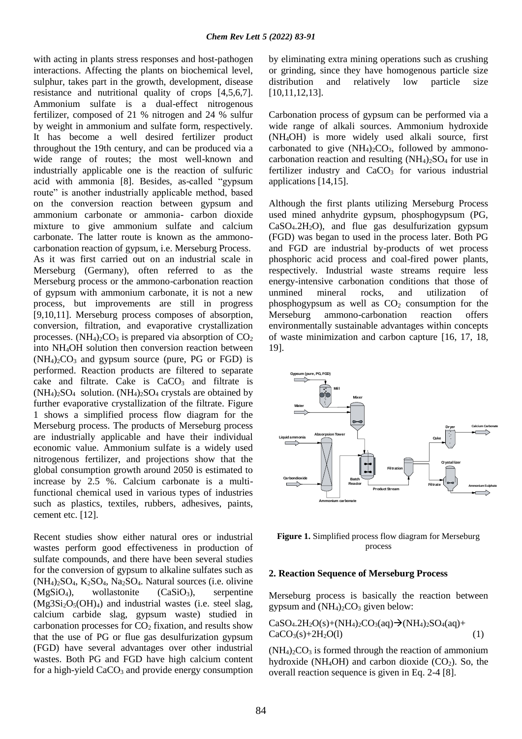with acting in plants stress responses and host-pathogen interactions. Affecting the plants on biochemical level, sulphur, takes part in the growth, development, disease resistance and nutritional quality of crops [4,5,6,7]. Ammonium sulfate is a dual-effect nitrogenous fertilizer, composed of 21 % nitrogen and 24 % sulfur by weight in ammonium and sulfate form, respectively. It has become a well desired fertilizer product throughout the 19th century, and can be produced via a wide range of routes; the most well-known and industrially applicable one is the reaction of sulfuric acid with ammonia [8]. Besides, as-called "gypsum route" is another industrially applicable method, based on the conversion reaction between gypsum and ammonium carbonate or ammonia- carbon dioxide mixture to give ammonium sulfate and calcium carbonate. The latter route is known as the ammonocarbonation reaction of gypsum, i.e. Merseburg Process. As it was first carried out on an industrial scale in Merseburg (Germany), often referred to as the Merseburg process or the ammono-carbonation reaction of gypsum with ammonium carbonate, it is not a new process, but improvements are still in progress [9,10,11]. Merseburg process composes of absorption, conversion, filtration, and evaporative crystallization processes. (NH<sub>4</sub>)<sub>2</sub>CO<sub>3</sub> is prepared via absorption of  $CO<sub>2</sub>$ into NH4OH solution then conversion reaction between  $(NH_4)_2CO_3$  and gypsum source (pure, PG or FGD) is performed. Reaction products are filtered to separate cake and filtrate. Cake is  $CaCO<sub>3</sub>$  and filtrate is  $(NH_4)_2SO_4$  solution.  $(NH_4)_2SO_4$  crystals are obtained by further evaporative crystallization of the filtrate. Figure 1 shows a simplified process flow diagram for the Merseburg process. The products of Merseburg process are industrially applicable and have their individual economic value. Ammonium sulfate is a widely used nitrogenous fertilizer, and projections show that the global consumption growth around 2050 is estimated to increase by 2.5 %. Calcium carbonate is a multifunctional chemical used in various types of industries such as plastics, textiles, rubbers, adhesives, paints, cement etc. [12].

Recent studies show either natural ores or industrial wastes perform good effectiveness in production of sulfate compounds, and there have been several studies for the conversion of gypsum to alkaline sulfates such as  $(NH_4)$ <sub>2</sub>SO<sub>4</sub>, K<sub>2</sub>SO<sub>4</sub>, Na<sub>2</sub>SO<sub>4</sub>. Natural sources (i.e. olivine  $(MgSiO<sub>4</sub>)$ , wollastonite  $(CaSiO<sub>3</sub>)$ , serpentine  $(Mg3Si<sub>2</sub>O<sub>5</sub>(OH)<sub>4</sub>)$  and industrial wastes (i.e. steel slag, calcium carbide slag, gypsum waste) studied in carbonation processes for  $CO<sub>2</sub>$  fixation, and results show that the use of PG or flue gas desulfurization gypsum (FGD) have several advantages over other industrial wastes. Both PG and FGD have high calcium content for a high-yield  $CaCO<sub>3</sub>$  and provide energy consumption

by eliminating extra mining operations such as crushing or grinding, since they have homogenous particle size distribution and relatively low particle size [10,11,12,13].

Carbonation process of gypsum can be performed via a wide range of alkali sources. Ammonium hydroxide (NH4OH) is more widely used alkali source, first carbonated to give  $(NH<sub>4</sub>)<sub>2</sub>CO<sub>3</sub>$ , followed by ammonocarbonation reaction and resulting  $(NH_4)_2SO_4$  for use in fertilizer industry and  $CaCO<sub>3</sub>$  for various industrial applications [14,15].

Although the first plants utilizing Merseburg Process used mined anhydrite gypsum, phosphogypsum (PG,  $CaSO<sub>4</sub>.2H<sub>2</sub>O$ , and flue gas desulfurization gypsum (FGD) was began to used in the process later. Both PG and FGD are industrial by-products of wet process phosphoric acid process and coal-fired power plants, respectively. Industrial waste streams require less energy-intensive carbonation conditions that those of unmined mineral rocks, and utilization of phosphogypsum as well as  $CO<sub>2</sub>$  consumption for the Merseburg ammono-carbonation reaction offers environmentally sustainable advantages within concepts of waste minimization and carbon capture [16, 17, 18, 19].



**Figure 1.** Simplified process flow diagram for Merseburg process

#### **2. Reaction Sequence of Merseburg Process**

Merseburg process is basically the reaction between gypsum and  $(NH<sub>4</sub>)<sub>2</sub>CO<sub>3</sub>$  given below:

$$
CaSO_4.2H_2O(s)+(NH_4)_2CO_3(aq) \rightarrow (NH_4)_2SO_4(aq)+ CaCO_3(s)+2H_2O(l)
$$
\n(1)

 $(NH_4)$ <sub>2</sub>CO<sub>3</sub> is formed through the reaction of ammonium hydroxide (NH<sub>4</sub>OH) and carbon dioxide  $(CO<sub>2</sub>)$ . So, the overall reaction sequence is given in Eq. 2-4 [8].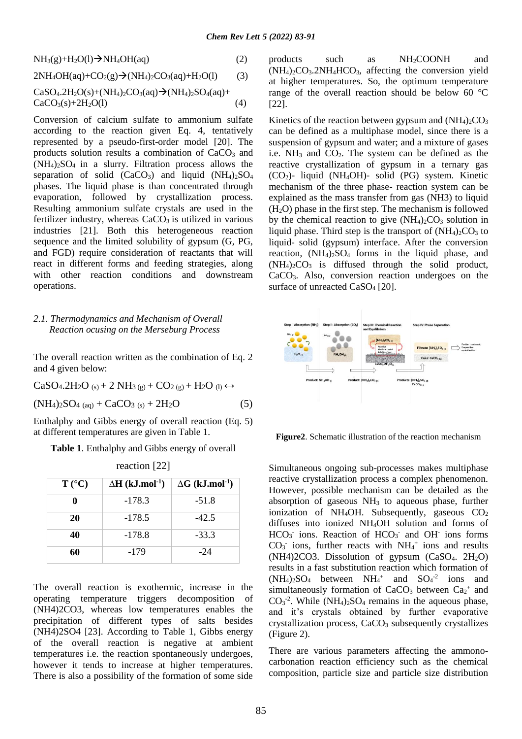$NH<sub>3</sub>(g)+H<sub>2</sub>O(l) \rightarrow NH<sub>4</sub>OH(aq)$  (2)

$$
2NH4OH(aq)+CO2(g) \rightarrow (NH4)2CO3(aq)+H2O(l)
$$
 (3)

$$
CaSO_4.2H_2O(s) + (NH_4)_2CO_3(aq) \rightarrow (NH_4)_2SO_4(aq) + CaCO_3(s) + 2H_2O(l)
$$
\n(4)

Conversion of calcium sulfate to ammonium sulfate according to the reaction given Eq. 4, tentatively represented by a pseudo-first-order model [20]. The products solution results a combination of  $CaCO<sub>3</sub>$  and (NH4)2SO4 in a slurry. Filtration process allows the separation of solid  $(CaCO<sub>3</sub>)$  and liquid  $(NH<sub>4</sub>)<sub>2</sub>SO<sub>4</sub>$ phases. The liquid phase is than concentrated through evaporation, followed by crystallization process. Resulting ammonium sulfate crystals are used in the fertilizer industry, whereas  $CaCO<sub>3</sub>$  is utilized in various industries [21]. Both this heterogeneous reaction sequence and the limited solubility of gypsum (G, PG, and FGD) require consideration of reactants that will react in different forms and feeding strategies, along with other reaction conditions and downstream operations.

# *2.1. Thermodynamics and Mechanism of Overall Reaction ocusing on the Merseburg Process*

The overall reaction written as the combination of Eq. 2 and 4 given below:

$$
CaSO4.2H2O(s) + 2 NH3(g) + CO2(g) + H2O(l) ↔(NH4)2SO4(aq) + CaCO3(s) + 2H2O
$$
 (5)

Enthalphy and Gibbs energy of overall reaction (Eq. 5) at different temperatures are given in Table 1.

**Table 1**. Enthalphy and Gibbs energy of overall

| 100000011777    |                                    |                                    |
|-----------------|------------------------------------|------------------------------------|
| $T (^{\circ}C)$ | $\Delta H$ (kJ.mol <sup>-1</sup> ) | $\Delta G$ (kJ.mol <sup>-1</sup> ) |
| 0               | $-178.3$                           | $-51.8$                            |
| 20              | $-178.5$                           | $-42.5$                            |
| 40              | $-178.8$                           | $-33.3$                            |
| 60              | -179                               | $-24$                              |

reaction [22]

The overall reaction is exothermic, increase in the operating temperature triggers decomposition of (NH4)2CO3, whereas low temperatures enables the precipitation of different types of salts besides (NH4)2SO4 [23]. According to Table 1, Gibbs energy of the overall reaction is negative at ambient temperatures i.e. the reaction spontaneously undergoes, however it tends to increase at higher temperatures. There is also a possibility of the formation of some side

products such as NH2COONH and  $(NH<sub>4</sub>)<sub>2</sub>CO<sub>3</sub>$ .  $2NH<sub>4</sub>HCO<sub>3</sub>$ , affecting the conversion yield at higher temperatures. So, the optimum temperature range of the overall reaction should be below 60 °C [22].

Kinetics of the reaction between gypsum and  $(NH_4)_2CO_3$ can be defined as a multiphase model, since there is a suspension of gypsum and water; and a mixture of gases i.e.  $NH_3$  and  $CO_2$ . The system can be defined as the reactive crystallization of gypsum in a ternary gas (CO2)- liquid (NH4OH)- solid (PG) system. Kinetic mechanism of the three phase- reaction system can be explained as the mass transfer from gas (NH3) to liquid  $(H<sub>2</sub>O)$  phase in the first step. The mechanism is followed by the chemical reaction to give  $(NH<sub>4</sub>)<sub>2</sub>CO<sub>3</sub>$  solution in liquid phase. Third step is the transport of  $(NH_4)_2CO_3$  to liquid- solid (gypsum) interface. After the conversion reaction,  $(NH_4)_2SO_4$  forms in the liquid phase, and  $(NH_4)_2CO_3$  is diffused through the solid product, CaCO3. Also, conversion reaction undergoes on the surface of unreacted CaSO<sub>4</sub> [20].



**Figure2**. Schematic illustration of the reaction mechanism

Simultaneous ongoing sub-processes makes multiphase reactive crystallization process a complex phenomenon. However, possible mechanism can be detailed as the absorption of gaseous NH<sup>3</sup> to aqueous phase, further ionization of NH<sub>4</sub>OH. Subsequently, gaseous  $CO<sub>2</sub>$ diffuses into ionized NH4OH solution and forms of HCO<sub>3</sub> ions. Reaction of HCO<sub>3</sub> and OH ions forms  $CO<sub>3</sub>$  ions, further reacts with NH<sub>4</sub><sup>+</sup> ions and results  $(NH4)2CO3$ . Dissolution of gypsum  $(CaSO<sub>4</sub>, 2H<sub>2</sub>O)$ results in a fast substitution reaction which formation of  $(NH_4)_2SO_4$  between  $NH_4^+$  and  $SO_4^2$  ions and simultaneously formation of  $CaCO<sub>3</sub>$  between  $Ca<sub>2</sub><sup>+</sup>$  and  $CO<sub>3</sub>$ <sup>-2</sup>. While (NH<sub>4</sub>)<sub>2</sub>SO<sub>4</sub> remains in the aqueous phase, and it's crystals obtained by further evaporative crystallization process, CaCO<sup>3</sup> subsequently crystallizes (Figure 2).

There are various parameters affecting the ammonocarbonation reaction efficiency such as the chemical composition, particle size and particle size distribution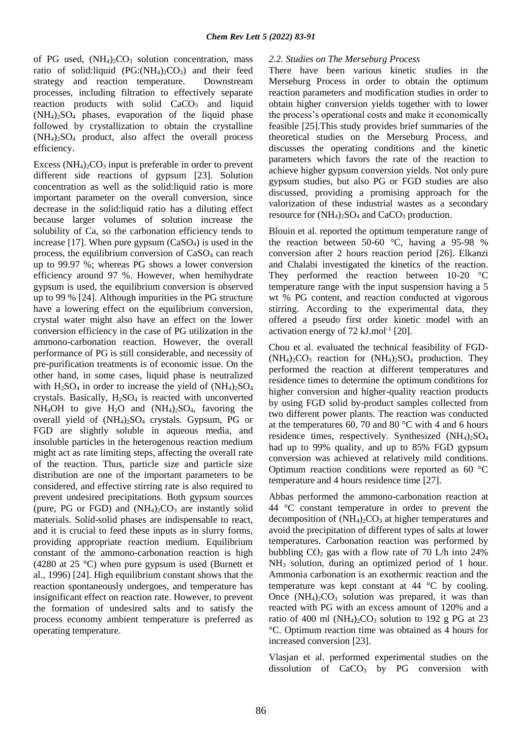of PG used,  $(NH_4)$ <sub>2</sub>CO<sub>3</sub> solution concentration, mass ratio of solid:liquid  $(PG:(NH_4)_2CO_3)$  and their feed strategy and reaction temperature. Downstream processes, including filtration to effectively separate reaction products with solid CaCO<sub>3</sub> and liquid  $(NH_4)_2SO_4$  phases, evaporation of the liquid phase followed by crystallization to obtain the crystalline  $(NH_4)_2SO_4$  product, also affect the overall process efficiency.

Excess  $(NH_4)_2CO_3$  input is preferable in order to prevent different side reactions of gypsum [23]. Solution concentration as well as the solid:liquid ratio is more important parameter on the overall conversion, since decrease in the solid:liquid ratio has a diluting effect because larger volumes of solution increase the solubility of Ca, so the carbonation efficiency tends to increase [17]. When pure gypsum  $(CaSO<sub>4</sub>)$  is used in the process, the equilibrium conversion of  $CaSO<sub>4</sub>$  can reach up to 99.97 %; whereas PG shows a lower conversion efficiency around 97 %. However, when hemihydrate gypsum is used, the equilibrium conversion is observed up to 99 % [24]. Although impurities in the PG structure have a lowering effect on the equilibrium conversion, crystal water might also have an effect on the lower conversion efficiency in the case of PG utilization in the ammono-carbonation reaction. However, the overall performance of PG is still considerable, and necessity of pre-purification treatments is of economic issue. On the other hand, in some cases, liquid phase is neutralized with  $H_2SO_4$  in order to increase the yield of  $(NH_4)_2SO_4$ crystals. Basically,  $H<sub>2</sub>SO<sub>4</sub>$  is reacted with unconverted  $NH<sub>4</sub>OH$  to give  $H<sub>2</sub>O$  and  $(NH<sub>4</sub>)<sub>2</sub>SO<sub>4</sub>$ , favoring the overall yield of  $(NH<sub>4</sub>)<sub>2</sub>SO<sub>4</sub>$  crystals. Gypsum, PG or FGD are slightly soluble in aqueous media, and insoluble particles in the heterogenous reaction medium might act as rate limiting steps, affecting the overall rate of the reaction. Thus, particle size and particle size distribution are one of the important parameters to be considered, and effective stirring rate is also required to prevent undesired precipitations. Both gypsum sources (pure, PG or FGD) and  $(NH<sub>4</sub>)<sub>2</sub>CO<sub>3</sub>$  are instantly solid materials. Solid-solid phases are indispensable to react, and it is crucial to feed these inputs as in slurry forms, providing appropriate reaction medium. Equilibrium constant of the ammono-carbonation reaction is high (4280 at 25 °C) when pure gypsum is used (Burnett et al., 1996) [24]. High equilibrium constant shows that the reaction spontaneously undergoes, and temperature has insignificant effect on reaction rate. However, to prevent the formation of undesired salts and to satisfy the process economy ambient temperature is preferred as operating temperature.

# *2.2. Studies on The Merseburg Process*

There have been various kinetic studies in the Merseburg Process in order to obtain the optimum reaction parameters and modification studies in order to obtain higher conversion yields together with to lower the process's operational costs and make it economically feasible [25].This study provides brief summaries of the theoretical studies on the Merseburg Process, and discusses the operating conditions and the kinetic parameters which favors the rate of the reaction to achieve higher gypsum conversion yields. Not only pure gypsum studies, but also PG or FGD studies are also discussed, providing a promising approach for the valorization of these industrial wastes as a secondary resource for  $(NH_4)_2SO_4$  and  $CaCO_3$  production.

Blouin et al. reported the optimum temperature range of the reaction between 50-60 °C, having a 95-98 % conversion after 2 hours reaction period [26]. Elkanzi and Chalabi investigated the kinetics of the reaction. They performed the reaction between 10-20 °C temperature range with the input suspension having a 5 wt % PG content, and reaction conducted at vigorous stirring. According to the experimental data, they offered a pseudo first order kinetic model with an activation energy of  $72 \text{ kJ}$ .mol<sup>-1</sup> [20].

Chou et al. evaluated the technical feasibility of FGD-  $(NH_4)_2CO_3$  reaction for  $(NH_4)_2SO_4$  production. They performed the reaction at different temperatures and residence times to determine the optimum conditions for higher conversion and higher-quality reaction products by using FGD solid by-product samples collected from two different power plants. The reaction was conducted at the temperatures 60, 70 and 80 °C with 4 and 6 hours residence times, respectively. Synthesized  $(NH_4)_2SO_4$ had up to 99% quality, and up to 85% FGD gypsum conversion was achieved at relatively mild conditions. Optimum reaction conditions were reported as 60 °C temperature and 4 hours residence time [27].

Abbas performed the ammono-carbonation reaction at 44 °C constant temperature in order to prevent the decomposition of  $(NH_4)_2CO_3$  at higher temperatures and avoid the precipitation of different types of salts at lower temperatures. Carbonation reaction was performed by bubbling  $CO<sub>2</sub>$  gas with a flow rate of 70 L/h into 24% NH<sup>3</sup> solution, during an optimized period of 1 hour. Ammonia carbonation is an exothermic reaction and the temperature was kept constant at 44 °C by cooling. Once  $(NH_4)_2CO_3$  solution was prepared, it was than reacted with PG with an excess amount of 120% and a ratio of 400 ml  $(NH_4)_2CO_3$  solution to 192 g PG at 23 °C. Optimum reaction time was obtained as 4 hours for increased conversion [23].

Vlasjan et al. performed experimental studies on the dissolution of  $CaCO<sub>3</sub>$  by PG conversion with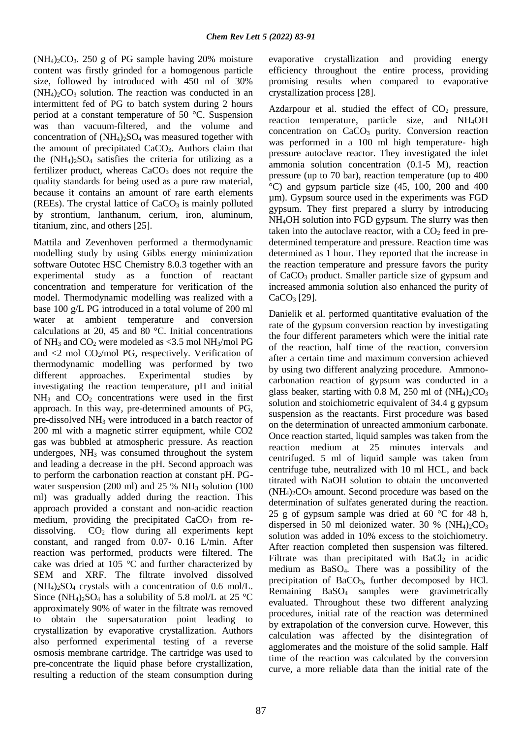$(NH_4)_2CO_3$ . 250 g of PG sample having 20% moisture content was firstly grinded for a homogenous particle size, followed by introduced with 450 ml of 30%  $(NH_4)_2CO_3$  solution. The reaction was conducted in an intermittent fed of PG to batch system during 2 hours period at a constant temperature of 50 °C. Suspension was than vacuum-filtered, and the volume and concentration of  $(NH_4)_2SO_4$  was measured together with the amount of precipitated CaCO3. Authors claim that the  $(NH_4)_2SO_4$  satisfies the criteria for utilizing as a fertilizer product, whereas  $CaCO<sub>3</sub>$  does not require the quality standards for being used as a pure raw material, because it contains an amount of rare earth elements (REEs). The crystal lattice of  $CaCO<sub>3</sub>$  is mainly polluted by strontium, lanthanum, cerium, iron, aluminum, titanium, zinc, and others [25].

Mattila and Zevenhoven performed a thermodynamic modelling study by using Gibbs energy minimization software Outotec HSC Chemistry 8.0.3 together with an experimental study as a function of reactant concentration and temperature for verification of the model. Thermodynamic modelling was realized with a base 100 g/L PG introduced in a total volume of 200 ml water at ambient temperature and conversion calculations at 20, 45 and 80 °C. Initial concentrations of NH<sub>3</sub> and CO<sub>2</sub> were modeled as  $\leq$ 3.5 mol NH<sub>3</sub>/mol PG and  $\langle 2 \rangle$  mol CO<sub>2</sub>/mol PG, respectively. Verification of thermodynamic modelling was performed by two different approaches. Experimental studies by investigating the reaction temperature, pH and initial  $NH<sub>3</sub>$  and  $CO<sub>2</sub>$  concentrations were used in the first approach. In this way, pre-determined amounts of PG, pre-dissolved NH<sup>3</sup> were introduced in a batch reactor of 200 ml with a magnetic stirrer equipment, while CO2 gas was bubbled at atmospheric pressure. As reaction undergoes,  $NH<sub>3</sub>$  was consumed throughout the system and leading a decrease in the pH. Second approach was to perform the carbonation reaction at constant pH. PGwater suspension (200 ml) and 25  $%$  NH<sub>3</sub> solution (100 ml) was gradually added during the reaction. This approach provided a constant and non-acidic reaction medium, providing the precipitated  $CaCO<sub>3</sub>$  from redissolving.  $CO<sub>2</sub>$  flow during all experiments kept constant, and ranged from 0.07- 0.16 L/min. After reaction was performed, products were filtered. The cake was dried at 105 °C and further characterized by SEM and XRF. The filtrate involved dissolved  $(NH_4)_2SO_4$  crystals with a concentration of 0.6 mol/L. Since  $(NH_4)_2SO_4$  has a solubility of 5.8 mol/L at 25 °C approximately 90% of water in the filtrate was removed to obtain the supersaturation point leading to crystallization by evaporative crystallization. Authors also performed experimental testing of a reverse osmosis membrane cartridge. The cartridge was used to pre-concentrate the liquid phase before crystallization, resulting a reduction of the steam consumption during evaporative crystallization and providing energy efficiency throughout the entire process, providing promising results when compared to evaporative crystallization process [28].

Azdarpour et al. studied the effect of  $CO<sub>2</sub>$  pressure, reaction temperature, particle size, and NH4OH concentration on CaCO<sup>3</sup> purity. Conversion reaction was performed in a 100 ml high temperature- high pressure autoclave reactor. They investigated the inlet ammonia solution concentration (0.1-5 M), reaction pressure (up to 70 bar), reaction temperature (up to 400 °C) and gypsum particle size (45, 100, 200 and 400 um). Gypsum source used in the experiments was FGD gypsum. They first prepared a slurry by introducing NH4OH solution into FGD gypsum. The slurry was then taken into the autoclave reactor, with a  $CO<sub>2</sub>$  feed in predetermined temperature and pressure. Reaction time was determined as 1 hour. They reported that the increase in the reaction temperature and pressure favors the purity of CaCO<sup>3</sup> product. Smaller particle size of gypsum and increased ammonia solution also enhanced the purity of  $CaCO<sub>3</sub>$  [29].

Danielik et al. performed quantitative evaluation of the rate of the gypsum conversion reaction by investigating the four different parameters which were the initial rate of the reaction, half time of the reaction, conversion after a certain time and maximum conversion achieved by using two different analyzing procedure. Ammonocarbonation reaction of gypsum was conducted in a glass beaker, starting with 0.8 M, 250 ml of  $(NH<sub>4</sub>)<sub>2</sub>CO<sub>3</sub>$ solution and stoichiometric equivalent of 34.4 g gypsum suspension as the reactants. First procedure was based on the determination of unreacted ammonium carbonate. Once reaction started, liquid samples was taken from the reaction medium at 25 minutes intervals and centrifuged. 5 ml of liquid sample was taken from centrifuge tube, neutralized with 10 ml HCL, and back titrated with NaOH solution to obtain the unconverted  $(NH_4)_2CO_3$  amount. Second procedure was based on the determination of sulfates generated during the reaction. 25 g of gypsum sample was dried at 60 °C for 48 h, dispersed in 50 ml deionized water. 30 %  $(NH_4)_2CO_3$ solution was added in 10% excess to the stoichiometry. After reaction completed then suspension was filtered. Filtrate was than precipitated with  $BaCl<sub>2</sub>$  in acidic medium as BaSO4. There was a possibility of the precipitation of BaCO<sub>3</sub>, further decomposed by HCl. Remaining BaSO<sup>4</sup> samples were gravimetrically evaluated. Throughout these two different analyzing procedures, initial rate of the reaction was determined by extrapolation of the conversion curve. However, this calculation was affected by the disintegration of agglomerates and the moisture of the solid sample. Half time of the reaction was calculated by the conversion curve, a more reliable data than the initial rate of the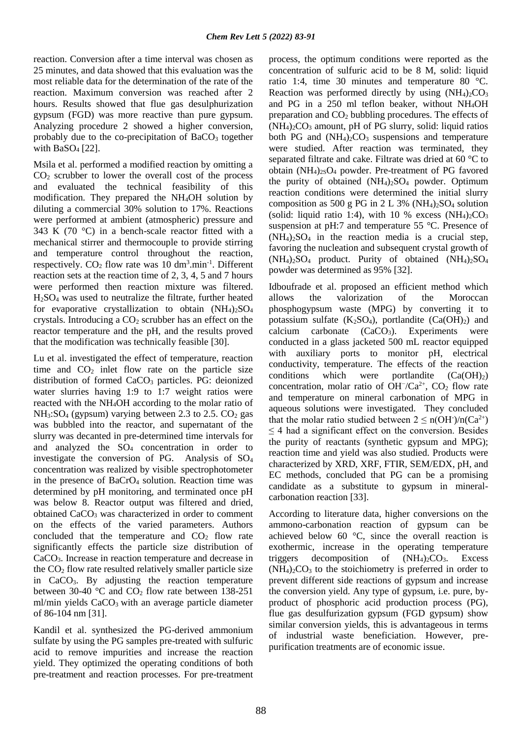reaction. Conversion after a time interval was chosen as 25 minutes, and data showed that this evaluation was the most reliable data for the determination of the rate of the reaction. Maximum conversion was reached after 2 hours. Results showed that flue gas desulphurization gypsum (FGD) was more reactive than pure gypsum. Analyzing procedure 2 showed a higher conversion, probably due to the co-precipitation of  $BaCO<sub>3</sub>$  together with BaSO<sup>4</sup> [22].

Msila et al. performed a modified reaction by omitting a  $CO<sub>2</sub>$  scrubber to lower the overall cost of the process and evaluated the technical feasibility of this modification. They prepared the NH4OH solution by diluting a commercial 30% solution to 17%. Reactions were performed at ambient (atmospheric) pressure and 343 K (70  $\degree$ C) in a bench-scale reactor fitted with a mechanical stirrer and thermocouple to provide stirring and temperature control throughout the reaction, respectively.  $CO_2$  flow rate was 10 dm<sup>3</sup>.min<sup>-1</sup>. Different reaction sets at the reaction time of 2, 3, 4, 5 and 7 hours were performed then reaction mixture was filtered.  $H<sub>2</sub>SO<sub>4</sub>$  was used to neutralize the filtrate, further heated for evaporative crystallization to obtain  $(NH_4)_2SO_4$ crystals. Introducing a  $CO<sub>2</sub>$  scrubber has an effect on the reactor temperature and the pH, and the results proved that the modification was technically feasible [30].

Lu et al. investigated the effect of temperature, reaction time and  $CO<sub>2</sub>$  inlet flow rate on the particle size distribution of formed CaCO<sub>3</sub> particles. PG: deionized water slurries having 1:9 to 1:7 weight ratios were reacted with the NH4OH according to the molar ratio of  $NH<sub>3</sub>:SO<sub>4</sub>$  (gypsum) varying between 2.3 to 2.5.  $CO<sub>2</sub>$  gas was bubbled into the reactor, and supernatant of the slurry was decanted in pre-determined time intervals for and analyzed the SO<sup>4</sup> concentration in order to investigate the conversion of PG. Analysis of SO<sup>4</sup> concentration was realized by visible spectrophotometer in the presence of BaCrO<sup>4</sup> solution. Reaction time was determined by pH monitoring, and terminated once pH was below 8. Reactor output was filtered and dried, obtained CaCO<sub>3</sub> was characterized in order to comment on the effects of the varied parameters. Authors concluded that the temperature and  $CO<sub>2</sub>$  flow rate significantly effects the particle size distribution of CaCO3. Increase in reaction temperature and decrease in the CO<sup>2</sup> flow rate resulted relatively smaller particle size in CaCO3. By adjusting the reaction temperature between 30-40  $\degree$ C and CO<sub>2</sub> flow rate between 138-251 ml/min yields CaCO<sub>3</sub> with an average particle diameter of 86-104 nm [31].

Kandil et al. synthesized the PG-derived ammonium sulfate by using the PG samples pre-treated with sulfuric acid to remove impurities and increase the reaction yield. They optimized the operating conditions of both pre-treatment and reaction processes. For pre-treatment process, the optimum conditions were reported as the concentration of sulfuric acid to be 8 M, solid: liquid ratio 1:4, time 30 minutes and temperature 80 °C. Reaction was performed directly by using  $(NH_4)_2CO_3$ and PG in a 250 ml teflon beaker, without NH4OH preparation and CO<sup>2</sup> bubbling procedures. The effects of  $(NH<sub>4</sub>)<sub>2</sub>CO<sub>3</sub>$  amount, pH of PG slurry, solid: liquid ratios both PG and  $(NH<sub>4</sub>)<sub>2</sub>CO<sub>3</sub>$  suspensions and temperature were studied. After reaction was terminated, they separated filtrate and cake. Filtrate was dried at 60 °C to obtain  $(NH_4)_{2S}O_4$  powder. Pre-treatment of PG favored the purity of obtained  $(NH_4)_2SO_4$  powder. Optimum reaction conditions were determined the initial slurry composition as 500 g PG in 2 L 3% (NH<sub>4</sub>)<sub>2</sub>SO<sub>4</sub> solution (solid: liquid ratio 1:4), with 10 % excess  $(NH<sub>4</sub>)<sub>2</sub>CO<sub>3</sub>$ suspension at pH:7 and temperature 55 °C. Presence of  $(NH_4)_2SO_4$  in the reaction media is a crucial step, favoring the nucleation and subsequent crystal growth of  $(NH_4)_2SO_4$  product. Purity of obtained  $(NH_4)_2SO_4$ powder was determined as 95% [32].

Idboufrade et al. proposed an efficient method which allows the valorization of the Moroccan phosphogypsum waste (MPG) by converting it to potassium sulfate  $(K_2SO_4)$ , portlandite  $(Ca(OH)_2)$  and calcium carbonate  $(CaCO<sub>3</sub>)$ . Experiments were conducted in a glass jacketed 500 mL reactor equipped with auxiliary ports to monitor pH, electrical conductivity, temperature. The effects of the reaction conditions which were portlandite  $(Ca(OH)<sub>2</sub>)$ concentration, molar ratio of OH<sup>-</sup>/Ca<sup>2+</sup>, CO<sub>2</sub> flow rate and temperature on mineral carbonation of MPG in aqueous solutions were investigated. They concluded that the molar ratio studied between  $2 \le n(OH^-)/n(Ca^{2+})$  $\leq$  4 had a significant effect on the conversion. Besides the purity of reactants (synthetic gypsum and MPG); reaction time and yield was also studied. Products were characterized by XRD, XRF, FTIR, SEM/EDX, pH, and EC methods, concluded that PG can be a promising candidate as a substitute to gypsum in mineralcarbonation reaction [33].

According to literature data, higher conversions on the ammono-carbonation reaction of gypsum can be achieved below 60 °C, since the overall reaction is exothermic, increase in the operating temperature triggers decomposition of  $(NH_4)_2CO_3$ . Excess  $(NH<sub>4</sub>)<sub>2</sub>CO<sub>3</sub>$  to the stoichiometry is preferred in order to prevent different side reactions of gypsum and increase the conversion yield. Any type of gypsum, i.e. pure, byproduct of phosphoric acid production process (PG), flue gas desulfurization gypsum (FGD gypsum) show similar conversion yields, this is advantageous in terms of industrial waste beneficiation. However, prepurification treatments are of economic issue.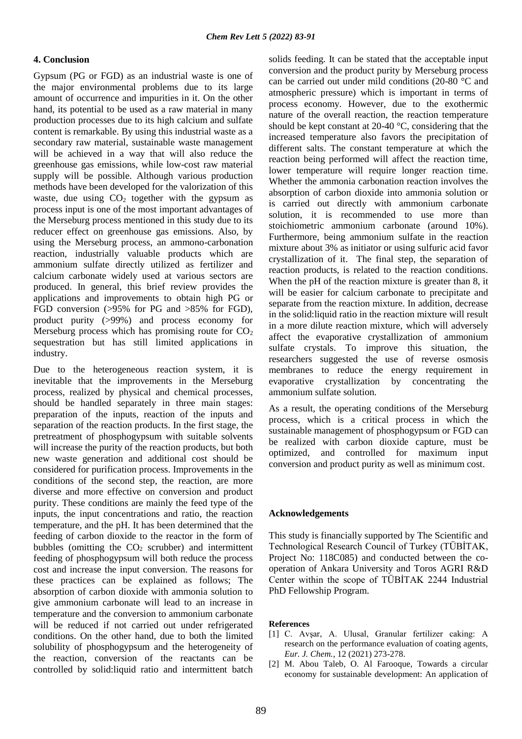# **4. Conclusion**

Gypsum (PG or FGD) as an industrial waste is one of the major environmental problems due to its large amount of occurrence and impurities in it. On the other hand, its potential to be used as a raw material in many production processes due to its high calcium and sulfate content is remarkable. By using this industrial waste as a secondary raw material, sustainable waste management will be achieved in a way that will also reduce the greenhouse gas emissions, while low-cost raw material supply will be possible. Although various production methods have been developed for the valorization of this waste, due using  $CO<sub>2</sub>$  together with the gypsum as process input is one of the most important advantages of the Merseburg process mentioned in this study due to its reducer effect on greenhouse gas emissions. Also, by using the Merseburg process, an ammono-carbonation reaction, industrially valuable products which are ammonium sulfate directly utilized as fertilizer and calcium carbonate widely used at various sectors are produced. In general, this brief review provides the applications and improvements to obtain high PG or FGD conversion (>95% for PG and >85% for FGD), product purity (>99%) and process economy for Merseburg process which has promising route for  $CO<sub>2</sub>$ sequestration but has still limited applications in industry.

Due to the heterogeneous reaction system, it is inevitable that the improvements in the Merseburg process, realized by physical and chemical processes, should be handled separately in three main stages: preparation of the inputs, reaction of the inputs and separation of the reaction products. In the first stage, the pretreatment of phosphogypsum with suitable solvents will increase the purity of the reaction products, but both new waste generation and additional cost should be considered for purification process. Improvements in the conditions of the second step, the reaction, are more diverse and more effective on conversion and product purity. These conditions are mainly the feed type of the inputs, the input concentrations and ratio, the reaction temperature, and the pH. It has been determined that the feeding of carbon dioxide to the reactor in the form of bubbles (omitting the  $CO<sub>2</sub>$  scrubber) and intermittent feeding of phosphogypsum will both reduce the process cost and increase the input conversion. The reasons for these practices can be explained as follows; The absorption of carbon dioxide with ammonia solution to give ammonium carbonate will lead to an increase in temperature and the conversion to ammonium carbonate will be reduced if not carried out under refrigerated conditions. On the other hand, due to both the limited solubility of phosphogypsum and the heterogeneity of the reaction, conversion of the reactants can be controlled by solid:liquid ratio and intermittent batch

solids feeding. It can be stated that the acceptable input conversion and the product purity by Merseburg process can be carried out under mild conditions (20-80 °C and atmospheric pressure) which is important in terms of process economy. However, due to the exothermic nature of the overall reaction, the reaction temperature should be kept constant at 20-40 °C, considering that the increased temperature also favors the precipitation of different salts. The constant temperature at which the reaction being performed will affect the reaction time, lower temperature will require longer reaction time. Whether the ammonia carbonation reaction involves the absorption of carbon dioxide into ammonia solution or is carried out directly with ammonium carbonate solution, it is recommended to use more than stoichiometric ammonium carbonate (around 10%). Furthermore, being ammonium sulfate in the reaction mixture about 3% as initiator or using sulfuric acid favor crystallization of it. The final step, the separation of reaction products, is related to the reaction conditions. When the pH of the reaction mixture is greater than 8, it will be easier for calcium carbonate to precipitate and separate from the reaction mixture. In addition, decrease in the solid:liquid ratio in the reaction mixture will result in a more dilute reaction mixture, which will adversely affect the evaporative crystallization of ammonium sulfate crystals. To improve this situation, the researchers suggested the use of reverse osmosis membranes to reduce the energy requirement in evaporative crystallization by concentrating the ammonium sulfate solution.

As a result, the operating conditions of the Merseburg process, which is a critical process in which the sustainable management of phosphogypsum or FGD can be realized with carbon dioxide capture, must be optimized, and controlled for maximum input conversion and product purity as well as minimum cost.

### **Acknowledgements**

This study is financially supported by The Scientific and Technological Research Council of Turkey (TÜBİTAK, Project No: 118C085) and conducted between the cooperation of Ankara University and Toros AGRI R&D Center within the scope of TÜBİTAK 2244 Industrial PhD Fellowship Program.

#### **References**

- [1] C. Avşar, A. Ulusal, Granular fertilizer caking: A research on the performance evaluation of coating agents, *Eur. J. Chem.*, 12 (2021) 273-278.
- [2] M. Abou Taleb, O. Al Farooque, Towards a circular economy for sustainable development: An application of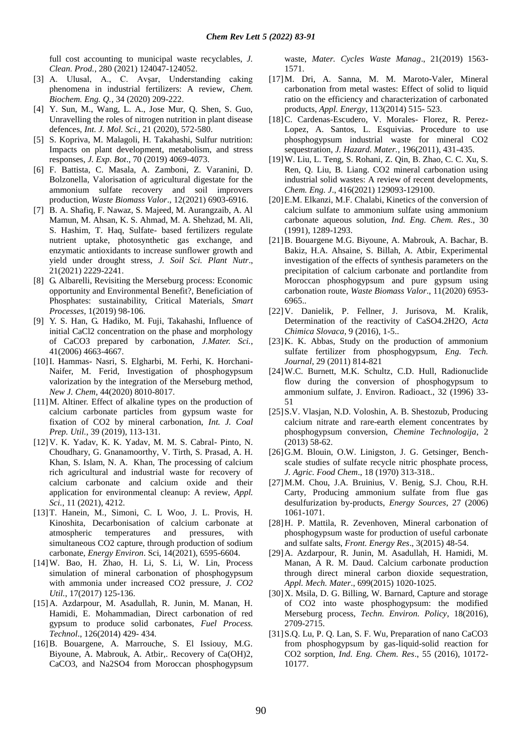full cost accounting to municipal waste recyclables, *J. Clean. Prod.*, 280 (2021) 124047-124052.

- [3] A. Ulusal, A., C. Avşar, Understanding caking phenomena in industrial fertilizers: A review, *Chem. Biochem. Eng. Q.*, 34 (2020) 209-222.
- [4] Y. Sun, M., Wang, L. A., Jose Mur, Q. Shen, S. Guo, Unravelling the roles of nitrogen nutrition in plant disease defences, *Int. J. Mol. Sci.*, 21 (2020), 572-580.
- [5] S. Kopriva, M. Malagoli, H. Takahashi, Sulfur nutrition: Impacts on plant development, metabolism, and stress responses, *J. Exp. Bot*., 70 (2019) 4069-4073.
- [6] F. Battista, C. Masala, A. Zamboni, Z. Varanini, D. Bolzonella, Valorisation of agricultural digestate for the ammonium sulfate recovery and soil improvers production, *Waste Biomass Valor*., 12(2021) 6903-6916.
- [7] B. A. Shafiq, F. Nawaz, S. Majeed, M. Aurangzaib, A. Al Mamun, M. Ahsan, K. S. Ahmad, M. A. Shehzad, M. Ali, S. Hashim, T. Haq, Sulfate- based fertilizers regulate nutrient uptake, photosynthetic gas exchange, and enzymatic antioxidants to increase sunflower growth and yield under drought stress, *J. Soil Sci. Plant Nutr*., 21(2021) 2229-2241.
- [8] G. Albarelli, Revisiting the Merseburg process: Economic opportunity and Environmental Benefit?, Beneficiation of Phosphates: sustainability, Critical Materials, *Smart Processes*, 1(2019) 98-106.
- [9] Y. S. Han, G. Hadiko, M. Fuji, Takahashi, Influence of initial CaCl2 concentration on the phase and morphology of CaCO3 prepared by carbonation, *J.Mater. Sci.*, 41(2006) 4663-4667.
- [10]I. Hammas- Nasri, S. Elgharbi, M. Ferhi, K. Horchani-Naifer, M. Ferid, Investigation of phosphogypsum valorization by the integration of the Merseburg method, *New J. Chem*, 44(2020) 8010-8017.
- [11]M. Altiner. Effect of alkaline types on the production of calcium carbonate particles from gypsum waste for fixation of CO2 by mineral carbonation, *Int. J. Coal Prep. Util.*, 39 (2019), 113-131.
- [12]V. K. Yadav, K. K. Yadav, M. M. S. Cabral- Pinto, N. Choudhary, G. Gnanamoorthy, V. Tirth, S. Prasad, A. H. Khan, S. Islam, N. A. Khan, The processing of calcium rich agricultural and industrial waste for recovery of calcium carbonate and calcium oxide and their application for environmental cleanup: A review, *Appl. Sci.*, 11 (2021), 4212.
- [13]T. Hanein, M., Simoni, C. L Woo, J. L. Provis, H. Kinoshita, Decarbonisation of calcium carbonate at atmospheric temperatures and pressures, with simultaneous CO2 capture, through production of sodium carbonate, *Energy Environ*. Sci, 14(2021), 6595-6604.
- [14]W. Bao, H. Zhao, H. Li, S. Li, W. Lin, Process simulation of mineral carbonation of phosphogypsum with ammonia under increased CO2 pressure, *J. CO2 Util.*, 17(2017) 125-136.
- [15]A. Azdarpour, M. Asadullah, R. Junin, M. Manan, H. Hamidi, E. Mohammadian, Direct carbonation of red gypsum to produce solid carbonates, *Fuel Process. Technol*., 126(2014) 429- 434.
- [16]B. Bouargene, A. Marrouche, S. El Issiouy, M.G. Biyoune, A. Mabrouk, A. Atbir,. Recovery of Ca(OH)2, CaCO3, and Na2SO4 from Moroccan phosphogypsum

waste, *Mater. Cycles Waste Manag*., 21(2019) 1563- 1571.

- [17]M. Dri, A. Sanna, M. M. Maroto-Valer, Mineral carbonation from metal wastes: Effect of solid to liquid ratio on the efficiency and characterization of carbonated products, *Appl. Energy*, 113(2014) 515- 523.
- [18]C. Cardenas-Escudero, V. Morales- Florez, R. Perez-Lopez, A. Santos, L. Esquivias. Procedure to use phosphogypsum industrial waste for mineral CO2 sequestration, *J. Hazard. Mater.*, 196(2011), 431-435.
- [19]W. Liu, L. Teng, S. Rohani, Z. Qin, B. Zhao, C. C. Xu, S. Ren, Q. Liu, B. Liang. CO2 mineral carbonation using industrial solid wastes: A review of recent developments, *Chem. Eng. J*., 416(2021) 129093-129100.
- [20]E.M. Elkanzi, M.F. Chalabi, Kinetics of the conversion of calcium sulfate to ammonium sulfate using ammonium carbonate aqueous solution, *Ind. Eng. Chem. Res*., 30 (1991), 1289-1293.
- [21]B. Bouargene M.G. Biyoune, A. Mabrouk, A. Bachar, B. Bakiz, H.A. Ahsaine, S. Billah, A. Atbir, Experimental investigation of the effects of synthesis parameters on the precipitation of calcium carbonate and portlandite from Moroccan phosphogypsum and pure gypsum using carbonation route, *Waste Biomass Valor*., 11(2020) 6953- 6965..
- [22]V. Danielik, P. Fellner, J. Jurisova, M. Kralik, Determination of the reactivity of CaSO4.2H2O, *Acta Chimica Slovaca*, 9 (2016), 1-5..
- [23]K. K. Abbas, Study on the production of ammonium sulfate fertilizer from phosphogypsum, *Eng. Tech. Journal*, 29 (2011) 814-821
- [24]W.C. Burnett, M.K. Schultz, C.D. Hull, Radionuclide flow during the conversion of phosphogypsum to ammonium sulfate, J. Environ. Radioact., 32 (1996) 33- 51
- [25]S.V. Vlasjan, N.D. Voloshin, A. B. Shestozub, Producing calcium nitrate and rare-earth element concentrates by phosphogypsum conversion, *Chemine Technologija*, 2 (2013) 58-62.
- [26]G.M. Blouin, O.W. Linigston, J. G. Getsinger, Benchscale studies of sulfate recycle nitric phosphate process, *J. Agric. Food Chem*., 18 (1970) 313-318..
- [27]M.M. Chou, J.A. Bruinius, V. Benig, S.J. Chou, R.H. Carty, Producing ammonium sulfate from flue gas desulfurization by-products, *Energy Sources*, 27 (2006) 1061-1071.
- [28]H. P. Mattila, R. Zevenhoven, Mineral carbonation of phosphogypsum waste for production of useful carbonate and sulfate salts, *Front. Energy Res*., 3(2015) 48-54.
- [29]A. Azdarpour, R. Junin, M. Asadullah, H. Hamidi, M. Manan, A R. M. Daud. Calcium carbonate production through direct mineral carbon dioxide sequestration, *Appl. Mech. Mater*., 699(2015) 1020-1025.
- [30] X. Msila, D. G. Billing, W. Barnard, Capture and storage of CO2 into waste phosphogypsum: the modified Merseburg process, *Techn. Environ. Policy*, 18(2016), 2709-2715.
- [31]S.Q. Lu, P. Q. Lan, S. F. Wu, Preparation of nano CaCO3 from phosphogypsum by gas-liquid-solid reaction for CO2 sorption, *Ind. Eng. Chem. Res*., 55 (2016), 10172- 10177.